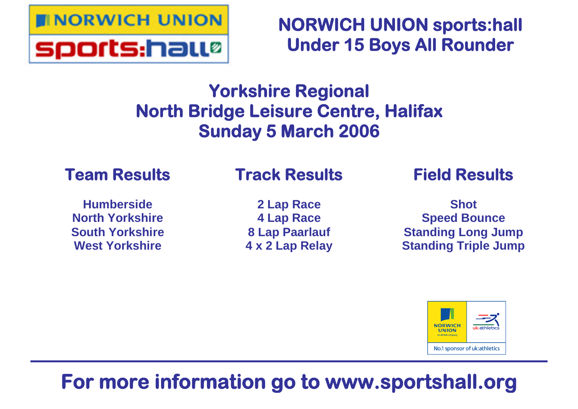

**NORWICH UNION sports:hall Under 15 Boys All Rounder**

# **Yorkshire Regional North Bridge Leisure Centre, Halifax Sunday 5 March 2006**

## **Team Results**

## **Track Results**

**Humberside North Yorkshire South Yorkshire West Yorkshire**

**2 Lap Race 4 Lap Race 8 Lap Paarlauf 4 x 2 Lap Relay** **Field Results**

**Shot Speed Bounce Standing Long Jump Standing Triple Jump**



# **For more information go to www.sportshall.org**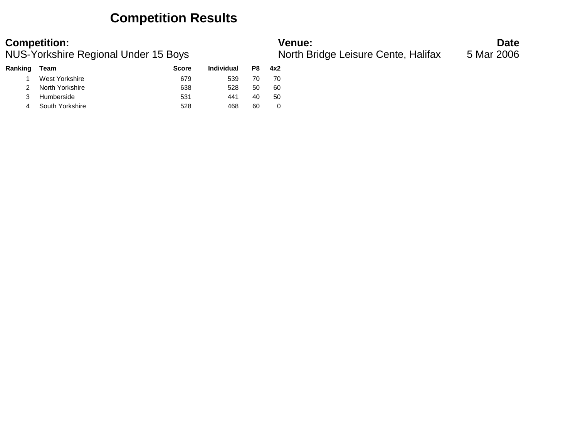## **Competition Results**

### **Competition: Venue: Date**

|                 | <b>Score</b>                            | Individual | P8 | 4x2 |
|-----------------|-----------------------------------------|------------|----|-----|
| West Yorkshire  | 679                                     | 539        | 70 | 70  |
| North Yorkshire | 638                                     | 528        | 50 | 60  |
|                 | 531                                     | 441        | 40 | 50  |
|                 | 528                                     | 468        | 60 |     |
|                 | Team<br>Humberside<br>4 South Yorkshire |            |    |     |

NUS-Yorkshire Regional Under 15 Boys North Bridge Leisure Cente, Halifax 5 Mar 2006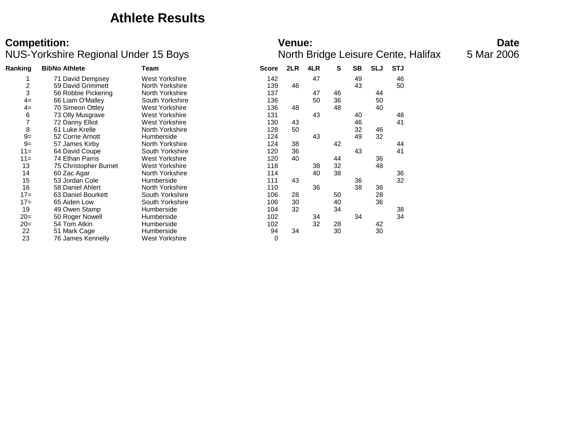### **Athlete Results**

### **Competition:** Date NUS-Yorkshire Regional Under 15 Boys North Bridge Leisure Cente, Halifax 5 Mar 2006

### **Ranking BibNo Athlete Team Score 2LR 4LR S SB SLJ STJ** 1 71 David Dempsey Mest Yorkshire 142 47 49 46<br>2 59 David Grimmett 19 North Yorkshire 150 139 46 43 50 2 59 David Grimmett 12 North Yorkshire 139 139 46<br>137 137 137 139 47 North Yorkshire 139 137 137 3 56 Robbie Pickering North Yorkshire 137 47 46 44 4= 66 Liam O'Malley South Yorkshire 136 50 36 50 50<br>4= 70 Simeon Ottlev West Yorkshire 136 48 48 40 4 70 Simeon Ottley Mest Yorkshire 136 48 48 48 48<br>
6 73 Olly Musarave Mest Yorkshire 131 43 40 73 Olly Musgrave **131** 131 43 40 48 7 72 Danny Elliot **Mest Yorkshire** 130 43 46 41 8 61 Luke Krelle North Yorkshire 128 50 32 46 9= 52 Corrie Arnott Humberside 124 43 49 32 er 57 James Kirby **North Yorkshire 124 38** 42 44 44 44 44 44 45 57 James Kirby **North Yorkshire** 120 36 43 41 41 11= 64 David Coupe South Yorkshire 120 36 43 41 11= 74 Ethan Parris **120 West Yorkshire** 120 40 44 36 36<br>13 75 Christopher Burnet West Yorkshire 118 118 38 32 48 13 75 Christopher Burnet West Yorkshire 118 38 32 48 14 60 Zac Agar North Yorkshire 114 40 38 36 15 53 Jordan Cole Humberside 111 43 36 32 16 58 Daniel Ahlert 10 North Yorkshire 110 36 38 36<br>17 = 63 Daniel Bourkett 10 South Yorkshire 106 28 50 28 175 63 Daniel Bourkett South Yorkshire 106 28 50<br>175 Aiden Low South Yorkshire 106 30 40 17= 65 Aiden Low South Yorkshire 106 30 40 36 19 49 Owen Stamp Humberside 104 32 34 38 20= 50 Roger Nowell Humberside 102 34 34 34 20= 54 Tom Atkin Humberside 102 32 28 42 22 51 Mark Cage Humberside 94 34 30 30 23 76 James Kennelly West Yorkshire 0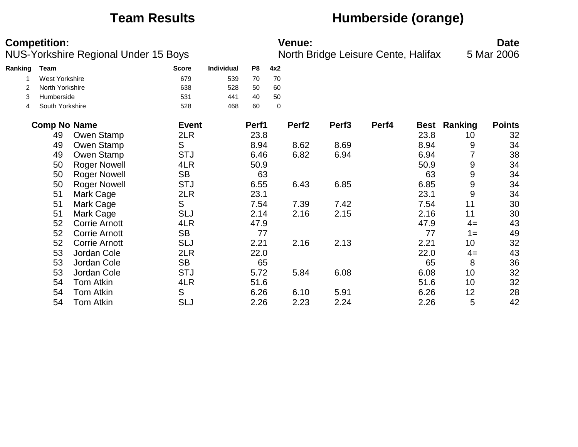## **Team Results Humberside (orange)**

|         | <b>Competition:</b> | <b>NUS-Yorkshire Regional Under 15 Boys</b> |              |                   |                |             | <b>Venue:</b>     | North Bridge Leisure Cente, Halifax |       |             |         | <b>Date</b><br>5 Mar 2006 |
|---------|---------------------|---------------------------------------------|--------------|-------------------|----------------|-------------|-------------------|-------------------------------------|-------|-------------|---------|---------------------------|
| Ranking | <b>Team</b>         |                                             | <b>Score</b> | <b>Individual</b> | P <sub>8</sub> | 4x2         |                   |                                     |       |             |         |                           |
|         | West Yorkshire      |                                             | 679          | 539               | 70             | 70          |                   |                                     |       |             |         |                           |
| 2       | North Yorkshire     |                                             | 638          | 528               | 50             | 60          |                   |                                     |       |             |         |                           |
| 3       | Humberside          |                                             | 531          | 441               | 40             | 50          |                   |                                     |       |             |         |                           |
| 4       | South Yorkshire     |                                             | 528          | 468               | 60             | $\mathbf 0$ |                   |                                     |       |             |         |                           |
|         | <b>Comp No Name</b> |                                             | <b>Event</b> |                   | Perf1          |             | Perf <sub>2</sub> | Perf <sub>3</sub>                   | Perf4 | <b>Best</b> | Ranking | <b>Points</b>             |
|         | 49                  | Owen Stamp                                  | 2LR          |                   | 23.8           |             |                   |                                     |       | 23.8        | 10      | 32                        |
|         | 49                  | Owen Stamp                                  | S            |                   | 8.94           |             | 8.62              | 8.69                                |       | 8.94        | 9       | 34                        |
|         | 49                  | Owen Stamp                                  | <b>STJ</b>   |                   | 6.46           |             | 6.82              | 6.94                                |       | 6.94        | 7       | 38                        |
|         | 50                  | <b>Roger Nowell</b>                         | 4LR          |                   | 50.9           |             |                   |                                     |       | 50.9        | 9       | 34                        |
|         | 50                  | <b>Roger Nowell</b>                         | <b>SB</b>    |                   | 63             |             |                   |                                     |       | 63          | 9       | 34                        |
|         | 50                  | <b>Roger Nowell</b>                         | <b>STJ</b>   |                   | 6.55           |             | 6.43              | 6.85                                |       | 6.85        | 9       | 34                        |
|         | 51                  | Mark Cage                                   | 2LR          |                   | 23.1           |             |                   |                                     |       | 23.1        | 9       | 34                        |
|         | 51                  | Mark Cage                                   | S            |                   | 7.54           |             | 7.39              | 7.42                                |       | 7.54        | 11      | 30                        |
|         | 51                  | Mark Cage                                   | <b>SLJ</b>   |                   | 2.14           |             | 2.16              | 2.15                                |       | 2.16        | 11      | 30                        |
|         | 52                  | <b>Corrie Arnott</b>                        | 4LR          |                   | 47.9           |             |                   |                                     |       | 47.9        | $4=$    | 43                        |
|         | 52                  | <b>Corrie Arnott</b>                        | <b>SB</b>    |                   | 77             |             |                   |                                     |       | 77          | $1 =$   | 49                        |
|         | 52                  | <b>Corrie Arnott</b>                        | <b>SLJ</b>   |                   | 2.21           |             | 2.16              | 2.13                                |       | 2.21        | 10      | 32                        |
|         | 53                  | Jordan Cole                                 | 2LR          |                   | 22.0           |             |                   |                                     |       | 22.0        | $4=$    | 43                        |
|         | 53                  | Jordan Cole                                 | <b>SB</b>    |                   | 65             |             |                   |                                     |       | 65          | 8       | 36                        |
|         | 53                  | Jordan Cole                                 | <b>STJ</b>   |                   | 5.72           |             | 5.84              | 6.08                                |       | 6.08        | 10      | 32                        |
|         | 54                  | <b>Tom Atkin</b>                            | 4LR          |                   | 51.6           |             |                   |                                     |       | 51.6        | 10      | 32                        |
|         | 54                  | <b>Tom Atkin</b>                            | S            |                   | 6.26           |             | 6.10              | 5.91                                |       | 6.26        | 12      | 28                        |
|         | 54                  | Tom Atkin                                   | <b>SLJ</b>   |                   | 2.26           |             | 2.23              | 2.24                                |       | 2.26        | 5       | 42                        |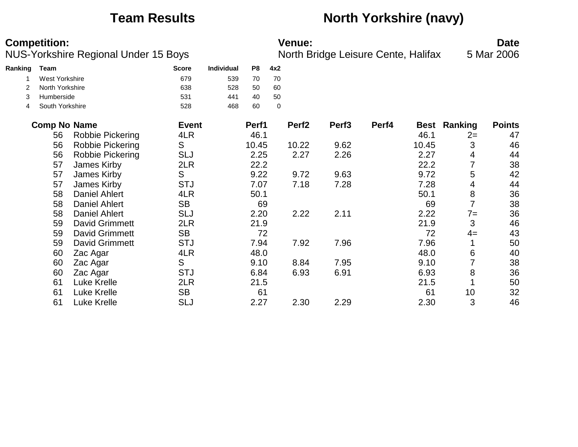## **Team Results North Yorkshire (navy)**

|         | <b>Competition:</b> | <b>NUS-Yorkshire Regional Under 15 Boys</b> |              |            |                |             | <b>Venue:</b>     | North Bridge Leisure Cente, Halifax |       |             |                | <b>Date</b><br>5 Mar 2006 |
|---------|---------------------|---------------------------------------------|--------------|------------|----------------|-------------|-------------------|-------------------------------------|-------|-------------|----------------|---------------------------|
| Ranking | Team                |                                             | <b>Score</b> | Individual | P <sub>8</sub> | 4x2         |                   |                                     |       |             |                |                           |
|         | West Yorkshire      |                                             | 679          | 539        | 70             | 70          |                   |                                     |       |             |                |                           |
|         | North Yorkshire     |                                             | 638          | 528        | 50             | 60          |                   |                                     |       |             |                |                           |
| 3       | Humberside          |                                             | 531          | 441        | 40             | 50          |                   |                                     |       |             |                |                           |
| 4       | South Yorkshire     |                                             | 528          | 468        | 60             | $\mathbf 0$ |                   |                                     |       |             |                |                           |
|         | <b>Comp No Name</b> |                                             | <b>Event</b> |            | Perf1          |             | Perf <sub>2</sub> | Perf <sub>3</sub>                   | Perf4 | <b>Best</b> | Ranking        | <b>Points</b>             |
|         | 56                  | <b>Robbie Pickering</b>                     | 4LR          |            | 46.1           |             |                   |                                     |       | 46.1        | $2=$           | 47                        |
|         | 56                  | Robbie Pickering                            | S            |            | 10.45          |             | 10.22             | 9.62                                |       | 10.45       | 3              | 46                        |
|         | 56                  | Robbie Pickering                            | <b>SLJ</b>   |            | 2.25           |             | 2.27              | 2.26                                |       | 2.27        | 4              | 44                        |
|         | 57                  | James Kirby                                 | 2LR          |            | 22.2           |             |                   |                                     |       | 22.2        | 7              | 38                        |
|         | 57                  | James Kirby                                 | S            |            | 9.22           |             | 9.72              | 9.63                                |       | 9.72        | 5              | 42                        |
|         | 57                  | James Kirby                                 | <b>STJ</b>   |            | 7.07           |             | 7.18              | 7.28                                |       | 7.28        | 4              | 44                        |
|         | 58                  | <b>Daniel Ahlert</b>                        | 4LR          |            | 50.1           |             |                   |                                     |       | 50.1        | 8              | 36                        |
|         | 58                  | <b>Daniel Ahlert</b>                        | <b>SB</b>    |            | 69             |             |                   |                                     |       | 69          | $\overline{7}$ | 38                        |
|         | 58                  | <b>Daniel Ahlert</b>                        | <b>SLJ</b>   |            | 2.20           |             | 2.22              | 2.11                                |       | 2.22        | $7=$           | 36                        |
|         | 59                  | <b>David Grimmett</b>                       | 2LR          |            | 21.9           |             |                   |                                     |       | 21.9        | 3              | 46                        |
|         | 59                  | <b>David Grimmett</b>                       | <b>SB</b>    |            | 72             |             |                   |                                     |       | 72          | $4=$           | 43                        |
|         | 59                  | <b>David Grimmett</b>                       | <b>STJ</b>   |            | 7.94           |             | 7.92              | 7.96                                |       | 7.96        | 1              | 50                        |
|         | 60                  | Zac Agar                                    | 4LR          |            | 48.0           |             |                   |                                     |       | 48.0        | 6              | 40                        |
|         | 60                  | Zac Agar                                    | S            |            | 9.10           |             | 8.84              | 7.95                                |       | 9.10        | 7              | 38                        |
|         | 60                  | Zac Agar                                    | <b>STJ</b>   |            | 6.84           |             | 6.93              | 6.91                                |       | 6.93        | 8              | 36                        |
|         | 61                  | Luke Krelle                                 | 2LR          |            | 21.5           |             |                   |                                     |       | 21.5        |                | 50                        |
|         | 61                  | Luke Krelle                                 | <b>SB</b>    |            | 61             |             |                   |                                     |       | 61          | 10             | 32                        |
|         | 61                  | <b>Luke Krelle</b>                          | <b>SLJ</b>   |            | 2.27           |             | 2.30              | 2.29                                |       | 2.30        | 3              | 46                        |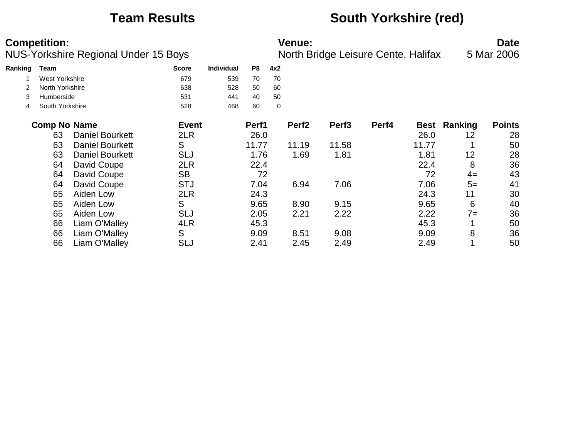## **Team Results South Yorkshire (red)**

|         | <b>Competition:</b> | NUS-Yorkshire Regional Under 15 Boys |              |                   |                |     | <b>Venue:</b>     | North Bridge Leisure Cente, Halifax |       |             |         | <b>Date</b><br>5 Mar 2006 |
|---------|---------------------|--------------------------------------|--------------|-------------------|----------------|-----|-------------------|-------------------------------------|-------|-------------|---------|---------------------------|
| Ranking | Team                |                                      | <b>Score</b> | <b>Individual</b> | P <sub>8</sub> | 4x2 |                   |                                     |       |             |         |                           |
|         | West Yorkshire      |                                      | 679          | 539               | 70             | 70  |                   |                                     |       |             |         |                           |
|         | North Yorkshire     |                                      | 638          | 528               | 50             | 60  |                   |                                     |       |             |         |                           |
| 3       | Humberside          |                                      | 531          | 441               | 40             | 50  |                   |                                     |       |             |         |                           |
| 4       | South Yorkshire     |                                      | 528          | 468               | 60             | 0   |                   |                                     |       |             |         |                           |
|         | <b>Comp No Name</b> |                                      | <b>Event</b> |                   | Perf1          |     | Perf <sub>2</sub> | Perf <sub>3</sub>                   | Perf4 | <b>Best</b> | Ranking | <b>Points</b>             |
|         | 63                  | <b>Daniel Bourkett</b>               | 2LR          |                   | 26.0           |     |                   |                                     |       | 26.0        | 12      | 28                        |
|         | 63                  | <b>Daniel Bourkett</b>               | S            |                   | 11.77          |     | 11.19             | 11.58                               |       | 11.77       |         | 50                        |
|         | 63                  | <b>Daniel Bourkett</b>               | <b>SLJ</b>   |                   | 1.76           |     | 1.69              | 1.81                                |       | 1.81        | 12      | 28                        |
|         | 64                  | David Coupe                          | 2LR          |                   | 22.4           |     |                   |                                     |       | 22.4        | 8       | 36                        |
|         | 64                  | David Coupe                          | <b>SB</b>    |                   | 72             |     |                   |                                     |       | 72          | $4=$    | 43                        |
|         | 64                  | David Coupe                          | <b>STJ</b>   |                   | 7.04           |     | 6.94              | 7.06                                |       | 7.06        | $5=$    | 41                        |
|         | 65                  | Aiden Low                            | 2LR          |                   | 24.3           |     |                   |                                     |       | 24.3        | 11      | 30                        |
|         | 65                  | Aiden Low                            | S            |                   | 9.65           |     | 8.90              | 9.15                                |       | 9.65        | 6       | 40                        |
|         | 65                  | Aiden Low                            | <b>SLJ</b>   |                   | 2.05           |     | 2.21              | 2.22                                |       | 2.22        | $7 =$   | 36                        |
|         | 66                  | Liam O'Malley                        | 4LR          |                   | 45.3           |     |                   |                                     |       | 45.3        |         | 50                        |
|         | 66                  | Liam O'Malley                        | S            |                   | 9.09           |     | 8.51              | 9.08                                |       | 9.09        | 8       | 36                        |
|         | 66                  | Liam O'Malley                        | <b>SLJ</b>   |                   | 2.41           |     | 2.45              | 2.49                                |       | 2.49        |         | 50                        |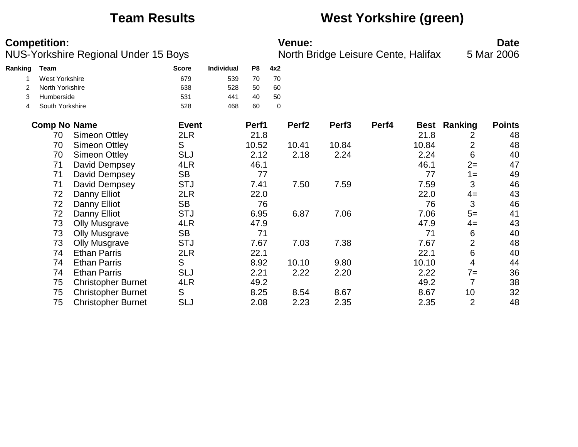## **Team Results West Yorkshire (green)**

|         | <b>Competition:</b>   | NUS-Yorkshire Regional Under 15 Boys |              |                   |       |     | <b>Venue:</b>     | North Bridge Leisure Cente, Halifax |       |             |                | <b>Date</b><br>5 Mar 2006 |
|---------|-----------------------|--------------------------------------|--------------|-------------------|-------|-----|-------------------|-------------------------------------|-------|-------------|----------------|---------------------------|
| Ranking | Team                  |                                      | <b>Score</b> | <b>Individual</b> | P8    | 4x2 |                   |                                     |       |             |                |                           |
|         | <b>West Yorkshire</b> |                                      | 679          | 539               | 70    | 70  |                   |                                     |       |             |                |                           |
|         | North Yorkshire       |                                      | 638          | 528               | 50    | 60  |                   |                                     |       |             |                |                           |
| 3       | Humberside            |                                      | 531          | 441               | 40    | 50  |                   |                                     |       |             |                |                           |
| 4       | South Yorkshire       |                                      | 528          | 468               | 60    | 0   |                   |                                     |       |             |                |                           |
|         | <b>Comp No Name</b>   |                                      | <b>Event</b> |                   | Perf1 |     | Perf <sub>2</sub> | Perf <sub>3</sub>                   | Perf4 | <b>Best</b> | Ranking        | <b>Points</b>             |
|         | 70                    | Simeon Ottley                        | 2LR          |                   | 21.8  |     |                   |                                     |       | 21.8        | 2              | 48                        |
|         | 70                    | Simeon Ottley                        | S            |                   | 10.52 |     | 10.41             | 10.84                               |       | 10.84       | $\overline{2}$ | 48                        |
|         | 70                    | Simeon Ottley                        | <b>SLJ</b>   |                   | 2.12  |     | 2.18              | 2.24                                |       | 2.24        | 6              | 40                        |
|         | 71                    | David Dempsey                        | 4LR          |                   | 46.1  |     |                   |                                     |       | 46.1        | $2=$           | 47                        |
|         | 71                    | David Dempsey                        | <b>SB</b>    |                   | 77    |     |                   |                                     |       | 77          | $1 =$          | 49                        |
|         | 71                    | David Dempsey                        | <b>STJ</b>   |                   | 7.41  |     | 7.50              | 7.59                                |       | 7.59        | 3              | 46                        |
|         | 72                    | Danny Elliot                         | 2LR          |                   | 22.0  |     |                   |                                     |       | 22.0        | $4=$           | 43                        |
|         | 72                    | Danny Elliot                         | <b>SB</b>    |                   | 76    |     |                   |                                     |       | 76          | 3              | 46                        |
|         | 72                    | Danny Elliot                         | <b>STJ</b>   |                   | 6.95  |     | 6.87              | 7.06                                |       | 7.06        | $5=$           | 41                        |
|         | 73                    | <b>Olly Musgrave</b>                 | 4LR          |                   | 47.9  |     |                   |                                     |       | 47.9        | $4=$           | 43                        |
|         | 73                    | <b>Olly Musgrave</b>                 | <b>SB</b>    |                   | 71    |     |                   |                                     |       | 71          | 6              | 40                        |
|         | 73                    | <b>Olly Musgrave</b>                 | <b>STJ</b>   |                   | 7.67  |     | 7.03              | 7.38                                |       | 7.67        | $\overline{2}$ | 48                        |
|         | 74                    | <b>Ethan Parris</b>                  | 2LR          |                   | 22.1  |     |                   |                                     |       | 22.1        | 6              | 40                        |
|         | 74                    | <b>Ethan Parris</b>                  | S            |                   | 8.92  |     | 10.10             | 9.80                                |       | 10.10       | 4              | 44                        |
|         | 74                    | <b>Ethan Parris</b>                  | <b>SLJ</b>   |                   | 2.21  |     | 2.22              | 2.20                                |       | 2.22        | $7 =$          | 36                        |
|         | 75                    | <b>Christopher Burnet</b>            | 4LR          |                   | 49.2  |     |                   |                                     |       | 49.2        | $\overline{7}$ | 38                        |
|         | 75                    | <b>Christopher Burnet</b>            | S            |                   | 8.25  |     | 8.54              | 8.67                                |       | 8.67        | 10             | 32                        |
|         | 75                    | <b>Christopher Burnet</b>            | <b>SLJ</b>   |                   | 2.08  |     | 2.23              | 2.35                                |       | 2.35        | $\overline{2}$ | 48                        |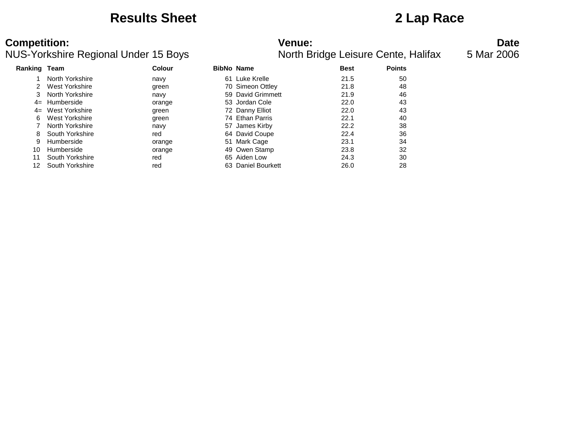### **Results Sheet 2 Lap Race**

### **Competition: Venue: Date** NUS-Yorkshire Regional Under 15 Boys North Bridge Leisure Cente, Halifax 5 Mar 2006

| Ranking Team |                 | <b>Colour</b> |     | <b>BibNo Name</b>  | <b>Best</b> | <b>Points</b> |
|--------------|-----------------|---------------|-----|--------------------|-------------|---------------|
|              | North Yorkshire | navy          | 61. | Luke Krelle        | 21.5        | 50            |
|              | West Yorkshire  | green         |     | 70 Simeon Ottley   | 21.8        | 48            |
|              | North Yorkshire | navy          |     | 59 David Grimmett  | 21.9        | 46            |
| $4=$         | Humberside      | orange        |     | 53 Jordan Cole     | 22.0        | 43            |
| $4=$         | West Yorkshire  | green         |     | 72 Danny Elliot    | 22.0        | 43            |
| 6.           | West Yorkshire  | green         |     | 74 Ethan Parris    | 22.1        | 40            |
|              | North Yorkshire | navy          |     | 57 James Kirby     | 22.2        | 38            |
| 8            | South Yorkshire | red           |     | 64 David Coupe     | 22.4        | 36            |
| 9            | Humberside      | orange        |     | 51 Mark Cage       | 23.1        | 34            |
| 10           | Humberside      | orange        |     | 49 Owen Stamp      | 23.8        | 32            |
| 11           | South Yorkshire | red           |     | 65 Aiden Low       | 24.3        | 30            |
| 12           | South Yorkshire | red           |     | 63 Daniel Bourkett | 26.0        | 28            |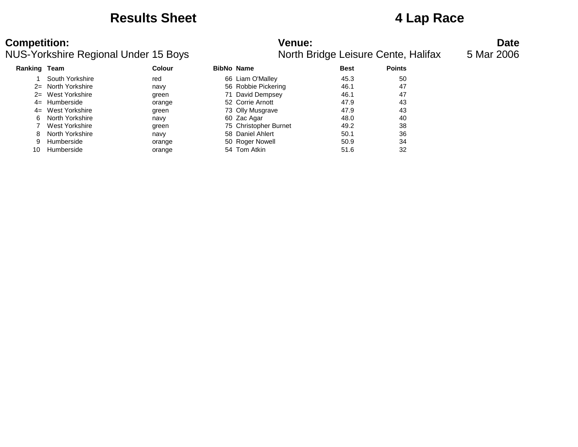### **Results Sheet 4 Lap Race**

### **Competition:**<br>**Date**<br>NUS-Yorkshire Regional Under 15 Boys **Numer Access Act Access** North Bridge Leisure Cente, Halifax 5 Mar 2006 NUS-Yorkshire Regional Under 15 Bovs

|              | 20-TUTN THE INGGIUTION OTIGET TO DUYS |               | <u>NUMI DHUYE LEISULE CENIC, FIAMIAZ</u> |             |               |
|--------------|---------------------------------------|---------------|------------------------------------------|-------------|---------------|
| Ranking Team |                                       | <b>Colour</b> | <b>BibNo Name</b>                        | <b>Best</b> | <b>Points</b> |
|              | South Yorkshire                       | red           | 66 Liam O'Malley                         | 45.3        | 50            |
| $2=$         | North Yorkshire                       | navy          | 56 Robbie Pickering                      | 46.1        | 47            |
|              | 2= West Yorkshire                     | green         | 71 David Dempsey                         | 46.1        | 47            |
|              | $4=$ Humberside                       | orange        | 52 Corrie Arnott                         | 47.9        | 43            |
|              | 4= West Yorkshire                     | green         | 73 Olly Musgrave                         | 47.9        | 43            |
| 6            | North Yorkshire                       | navy          | 60 Zac Agar                              | 48.0        | 40            |
|              | West Yorkshire                        | green         | 75 Christopher Burnet                    | 49.2        | 38            |
| 8.           | North Yorkshire                       | navy          | 58 Daniel Ahlert                         | 50.1        | 36            |
| 9            | Humberside                            | orange        | 50 Roger Nowell                          | 50.9        | 34            |
| 10           | Humberside                            | orange        | 54 Tom Atkin                             | 51.6        | 32            |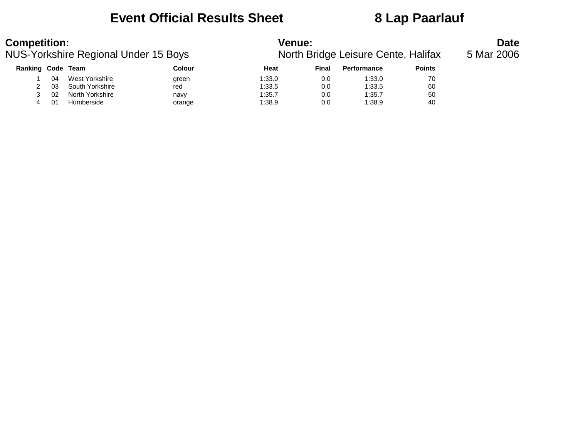## **Event Official Results Sheet 8 Lap Paarlauf**

| <b>Competition:</b><br>NUS-Yorkshire Regional Under 15 Boys |    |                 |        | <b>Venue:</b><br>North Bridge Leisure Cente, Halifax |       |             |               |  |  |
|-------------------------------------------------------------|----|-----------------|--------|------------------------------------------------------|-------|-------------|---------------|--|--|
| <b>Ranking Code Team</b>                                    |    |                 | Colour | Heat                                                 | Final | Performance | <b>Points</b> |  |  |
|                                                             | 04 | West Yorkshire  | green  | 1:33.0                                               | 0.0   | 1:33.0      | 70            |  |  |
|                                                             | 03 | South Yorkshire | red    | 1:33.5                                               | 0.0   | 1:33.5      | 60            |  |  |
|                                                             | 02 | North Yorkshire | navy   | 1:35.7                                               | 0.0   | 1:35.7      | 50            |  |  |

4 01 Humberside orange 1:38.9 0.0 1:38.9 40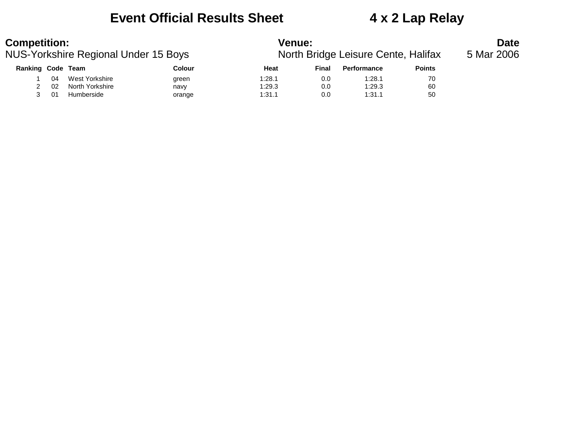### **Event Official Results Sheet 4 x 2 Lap Relay**

### NUS-Yorkshire Regional Under 15 Bovs

| <b>Competition:</b>                  |    |                 |                                     |            | <b>Venue:</b> |                    |               |  |  |  |  |
|--------------------------------------|----|-----------------|-------------------------------------|------------|---------------|--------------------|---------------|--|--|--|--|
| NUS-Yorkshire Regional Under 15 Boys |    |                 | North Bridge Leisure Cente, Halifax | 5 Mar 2006 |               |                    |               |  |  |  |  |
| Ranking Code Team                    |    |                 | <b>Colour</b>                       | Heat       | Final         | <b>Performance</b> | <b>Points</b> |  |  |  |  |
|                                      | 04 | West Yorkshire  | green                               | 1:28.1     | 0.0           | 1:28.1             | 70            |  |  |  |  |
|                                      | 02 | North Yorkshire | navy                                | 1:29.3     | 0.0           | 1:29.3             | 60            |  |  |  |  |

3 01 Humberside orange 1:31.1 0.0 1:31.1 50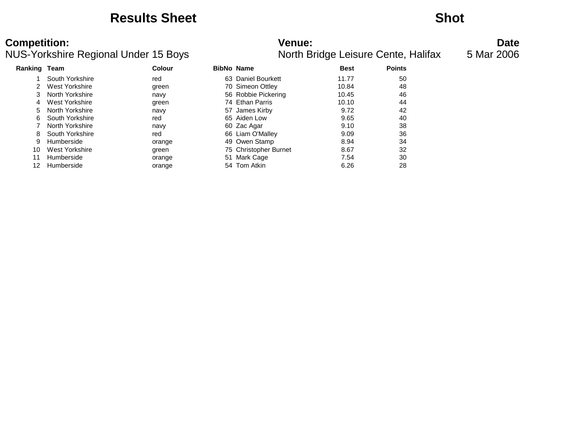### **Results Sheet Shot**

### NUS-Yorkshire Regional Under 15 Bovs

| <b>Competition:</b><br>NUS-Yorkshire Regional Under 15 Boys |                 |               | <b>Venue:</b>         | North Bridge Leisure Cente, Halifax | <b>Date</b><br>5 Mar 2006 |  |
|-------------------------------------------------------------|-----------------|---------------|-----------------------|-------------------------------------|---------------------------|--|
| <b>Ranking Team</b>                                         |                 | <b>Colour</b> | <b>BibNo Name</b>     | <b>Best</b>                         | <b>Points</b>             |  |
|                                                             | South Yorkshire | red           | 63 Daniel Bourkett    | 11.77                               | 50                        |  |
| 2                                                           | West Yorkshire  | green         | 70 Simeon Ottley      | 10.84                               | 48                        |  |
| 3.                                                          | North Yorkshire | navy          | 56 Robbie Pickering   | 10.45                               | 46                        |  |
| 4                                                           | West Yorkshire  | green         | 74 Ethan Parris       | 10.10                               | 44                        |  |
|                                                             | North Yorkshire | navy          | 57 James Kirby        | 9.72                                | 42                        |  |
| 6.                                                          | South Yorkshire | red           | 65 Aiden Low          | 9.65                                | 40                        |  |
|                                                             | North Yorkshire | navy          | 60 Zac Agar           | 9.10                                | 38                        |  |
| 8                                                           | South Yorkshire | red           | 66 Liam O'Malley      | 9.09                                | 36                        |  |
| 9                                                           | Humberside      | orange        | 49 Owen Stamp         | 8.94                                | 34                        |  |
| 10                                                          | West Yorkshire  | green         | 75 Christopher Burnet | 8.67                                | 32                        |  |
| 11                                                          | Humberside      | orange        | 51 Mark Cage          | 7.54                                | 30                        |  |
| 12                                                          | Humberside      | orange        | 54 Tom Atkin          | 6.26                                | 28                        |  |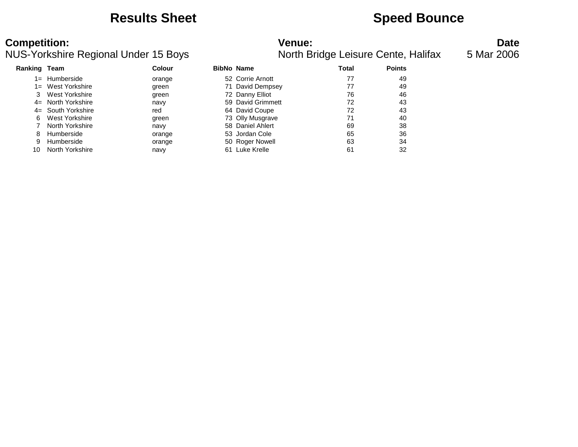### **Results Sheet <b>Speed Bounce Speed Bounce**

### **Competition:**<br>**Refinition: Date**<br>**Refinition: Refinition: Date**<br>**Refinition: Date**<br>**Refinition: Date**<br>**Date**<br>**Refinition: Date**<br>**Refinition: Date**<br>**Refinition: Date** NUS-Yorkshire Regional Under 15 Bovs

|              | 20-TUTN THE TVEGIONAL UNIGHT TO DUYS |               |    |                   |       | <u>INVILII DHUYE LEISULE OEHIG, FIAIIIAA</u> |
|--------------|--------------------------------------|---------------|----|-------------------|-------|----------------------------------------------|
| Ranking Team |                                      | <b>Colour</b> |    | <b>BibNo Name</b> | Total | <b>Points</b>                                |
| $1 =$        | Humberside                           | orange        |    | 52 Corrie Arnott  | 77    | 49                                           |
|              | 1= West Yorkshire                    | green         |    | 71 David Dempsey  | 77    | 49                                           |
| 3            | West Yorkshire                       | green         |    | 72 Danny Elliot   | 76    | 46                                           |
|              | 4= North Yorkshire                   | navy          |    | 59 David Grimmett | 72    | 43                                           |
|              | 4= South Yorkshire                   | red           |    | 64 David Coupe    | 72    | 43                                           |
| 6.           | West Yorkshire                       | green         |    | 73 Olly Musgrave  | 71    | 40                                           |
|              | North Yorkshire                      | navy          |    | 58 Daniel Ahlert  | 69    | 38                                           |
| 8            | Humberside                           | orange        |    | 53 Jordan Cole    | 65    | 36                                           |
| 9            | Humberside                           | orange        |    | 50 Roger Nowell   | 63    | 34                                           |
| 10           | North Yorkshire                      | navy          | 61 | Luke Krelle       | 61    | 32                                           |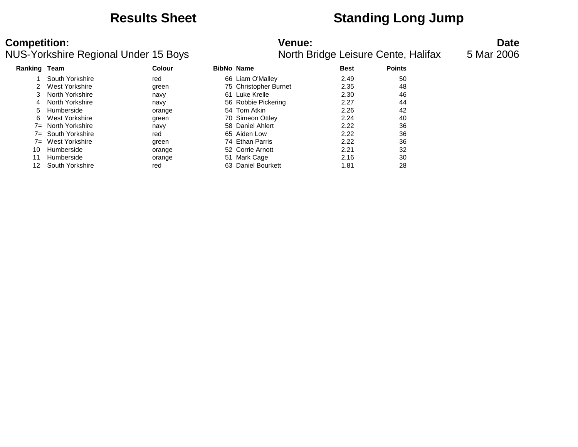## **Results Sheet Standing Long Jump**

### **Competition: Venue: Date**

### NUS-Yorkshire Regional Under 15 Boys North Bridge Leisure Cente, Halifax 5 Mar 2006

| /enue: |       |  |  |
|--------|-------|--|--|
| . .    | - - - |  |  |

| Ranking | Team               | Colour | <b>BibNo Name</b> |                       | <b>Best</b> | <b>Points</b> |
|---------|--------------------|--------|-------------------|-----------------------|-------------|---------------|
|         | South Yorkshire    | red    |                   | 66 Liam O'Malley      | 2.49        | 50            |
|         | West Yorkshire     | green  |                   | 75 Christopher Burnet | 2.35        | 48            |
|         | North Yorkshire    | navy   |                   | 61 Luke Krelle        | 2.30        | 46            |
| 4       | North Yorkshire    | navy   |                   | 56 Robbie Pickering   | 2.27        | 44            |
| 5       | Humberside         | orange |                   | 54 Tom Atkin          | 2.26        | 42            |
| 6       | West Yorkshire     | green  |                   | 70 Simeon Ottley      | 2.24        | 40            |
| $7 =$   | North Yorkshire    | navy   |                   | 58 Daniel Ahlert      | 2.22        | 36            |
|         | 7= South Yorkshire | red    |                   | 65 Aiden Low          | 2.22        | 36            |
| $7 =$   | West Yorkshire     | green  |                   | 74 Ethan Parris       | 2.22        | 36            |
| 10      | Humberside         | orange |                   | 52 Corrie Arnott      | 2.21        | 32            |
| 11      | Humberside         | orange |                   | 51 Mark Cage          | 2.16        | 30            |
| 12      | South Yorkshire    | red    |                   | 63 Daniel Bourkett    | 1.81        | 28            |